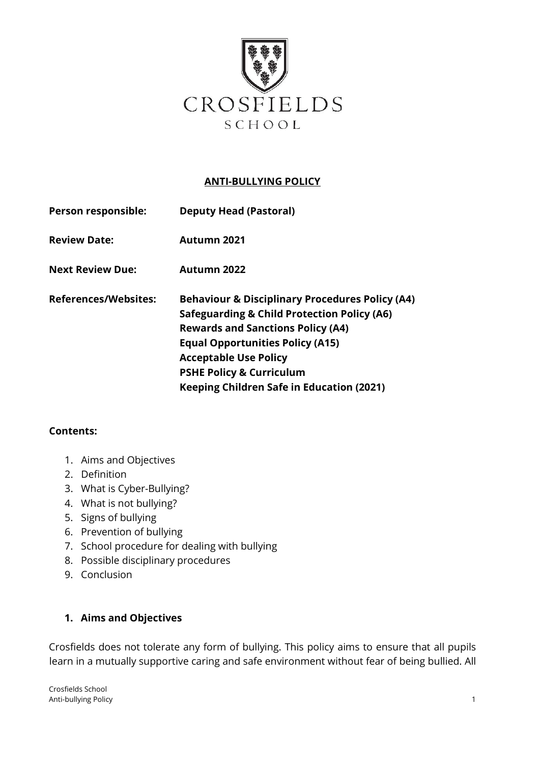

## **ANTI-BULLYING POLICY**

| Person responsible:         | <b>Deputy Head (Pastoral)</b>                                                                                                                                                                                                                                                                                                          |
|-----------------------------|----------------------------------------------------------------------------------------------------------------------------------------------------------------------------------------------------------------------------------------------------------------------------------------------------------------------------------------|
| <b>Review Date:</b>         | <b>Autumn 2021</b>                                                                                                                                                                                                                                                                                                                     |
| <b>Next Review Due:</b>     | <b>Autumn 2022</b>                                                                                                                                                                                                                                                                                                                     |
| <b>References/Websites:</b> | <b>Behaviour &amp; Disciplinary Procedures Policy (A4)</b><br><b>Safeguarding &amp; Child Protection Policy (A6)</b><br><b>Rewards and Sanctions Policy (A4)</b><br><b>Equal Opportunities Policy (A15)</b><br><b>Acceptable Use Policy</b><br><b>PSHE Policy &amp; Curriculum</b><br><b>Keeping Children Safe in Education (2021)</b> |

#### **Contents:**

- 1. Aims and Objectives
- 2. Definition
- 3. What is Cyber-Bullying?
- 4. What is not bullying?
- 5. Signs of bullying
- 6. Prevention of bullying
- 7. School procedure for dealing with bullying
- 8. Possible disciplinary procedures
- 9. Conclusion

## **1. Aims and Objectives**

Crosfields does not tolerate any form of bullying. This policy aims to ensure that all pupils learn in a mutually supportive caring and safe environment without fear of being bullied. All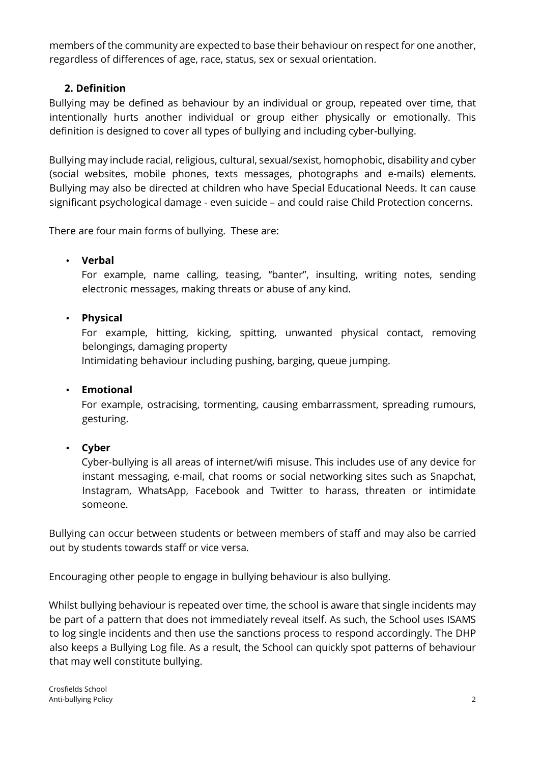members of the community are expected to base their behaviour on respect for one another, regardless of differences of age, race, status, sex or sexual orientation.

# **2. Definition**

Bullying may be defined as behaviour by an individual or group, repeated over time, that intentionally hurts another individual or group either physically or emotionally. This definition is designed to cover all types of bullying and including cyber-bullying.

Bullying may include racial, religious, cultural, sexual/sexist, homophobic, disability and cyber (social websites, mobile phones, texts messages, photographs and e-mails) elements. Bullying may also be directed at children who have Special Educational Needs. It can cause significant psychological damage - even suicide – and could raise Child Protection concerns.

There are four main forms of bullying. These are:

### • **Verbal**

For example, name calling, teasing, "banter", insulting, writing notes, sending electronic messages, making threats or abuse of any kind.

## • **Physical**

For example, hitting, kicking, spitting, unwanted physical contact, removing belongings, damaging property

Intimidating behaviour including pushing, barging, queue jumping.

## • **Emotional**

For example, ostracising, tormenting, causing embarrassment, spreading rumours, gesturing.

## • **Cyber**

Cyber-bullying is all areas of internet/wifi misuse. This includes use of any device for instant messaging, e-mail, chat rooms or [social networking s](http://whatis.techtarget.com/definition/social-networking)ites such as Snapchat, Instagram, WhatsApp, [Facebook a](http://whatis.techtarget.com/definition/Facebook)nd [Twitter t](http://whatis.techtarget.com/definition/Twitter)o harass, threaten or intimidate someone.

Bullying can occur between students or between members of staff and may also be carried out by students towards staff or vice versa.

Encouraging other people to engage in bullying behaviour is also bullying.

Whilst bullying behaviour is repeated over time, the school is aware that single incidents may be part of a pattern that does not immediately reveal itself. As such, the School uses ISAMS to log single incidents and then use the sanctions process to respond accordingly. The DHP also keeps a Bullying Log file. As a result, the School can quickly spot patterns of behaviour that may well constitute bullying.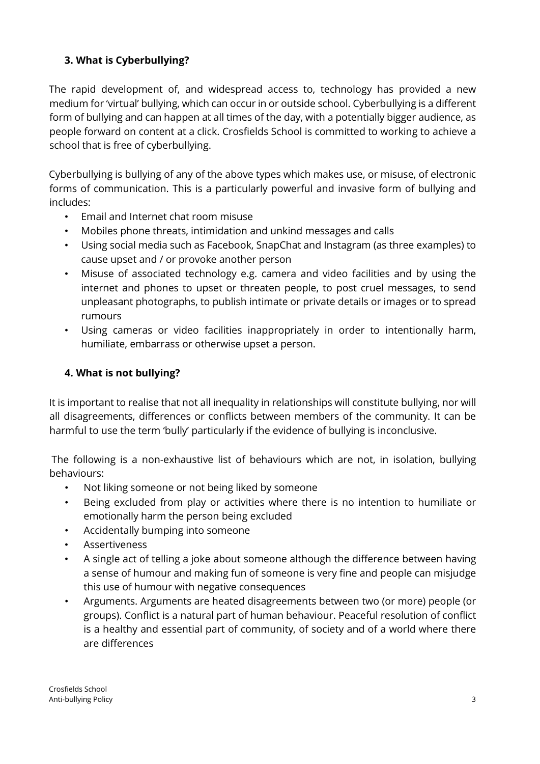# **3. What is Cyberbullying?**

The rapid development of, and widespread access to, technology has provided a new medium for 'virtual' bullying, which can occur in or outside school. Cyberbullying is a different form of bullying and can happen at all times of the day, with a potentially bigger audience, as people forward on content at a click. Crosfields School is committed to working to achieve a school that is free of cyberbullying.

Cyberbullying is bullying of any of the above types which makes use, or misuse, of electronic forms of communication. This is a particularly powerful and invasive form of bullying and includes:

- Email and Internet chat room misuse
- Mobiles phone threats, intimidation and unkind messages and calls
- Using social media such as Facebook, SnapChat and Instagram (as three examples) to cause upset and / or provoke another person
- Misuse of associated technology e.g. camera and video facilities and by using the internet and phones to upset or threaten people, to post cruel messages, to send unpleasant photographs, to publish intimate or private details or images or to spread rumours
- Using cameras or video facilities inappropriately in order to intentionally harm, humiliate, embarrass or otherwise upset a person.

## **4. What is not bullying?**

It is important to realise that not all inequality in relationships will constitute bullying, nor will all disagreements, differences or conflicts between members of the community. It can be harmful to use the term 'bully' particularly if the evidence of bullying is inconclusive.

The following is a non-exhaustive list of behaviours which are not, in isolation, bullying behaviours:

- Not liking someone or not being liked by someone
- Being excluded from play or activities where there is no intention to humiliate or emotionally harm the person being excluded
- Accidentally bumping into someone
- **Assertiveness**
- A single act of telling a joke about someone although the difference between having a sense of humour and making fun of someone is very fine and people can misjudge this use of humour with negative consequences
- Arguments. Arguments are heated disagreements between two (or more) people (or groups). Conflict is a natural part of human behaviour. Peaceful resolution of conflict is a healthy and essential part of community, of society and of a world where there are differences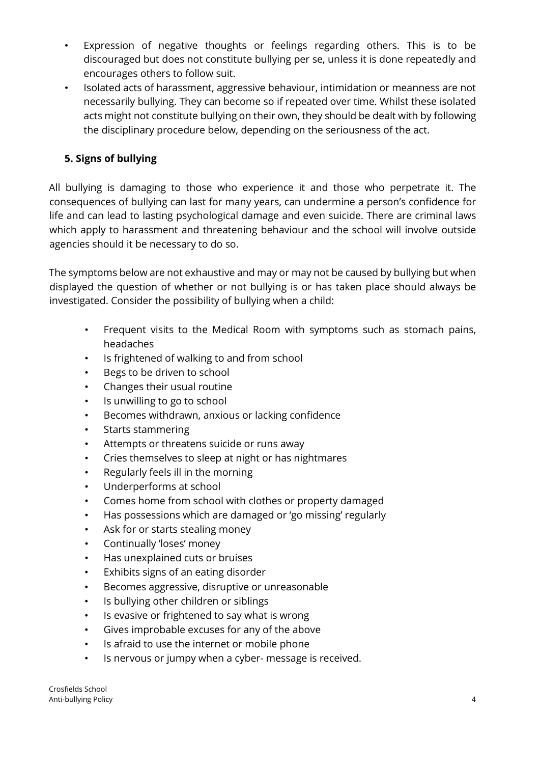- Expression of negative thoughts or feelings regarding others. This is to be discouraged but does not constitute bullying per se, unless it is done repeatedly and encourages others to follow suit.
- Isolated acts of harassment, aggressive behaviour, intimidation or meanness are not necessarily bullying. They can become so if repeated over time. Whilst these isolated acts might not constitute bullying on their own, they should be dealt with by following the disciplinary procedure below, depending on the seriousness of the act.

# **5. Signs of bullying**

All bullying is damaging to those who experience it and those who perpetrate it. The consequences of bullying can last for many years, can undermine a person's confidence for life and can lead to lasting psychological damage and even suicide. There are criminal laws which apply to harassment and threatening behaviour and the school will involve outside agencies should it be necessary to do so.

The symptoms below are not exhaustive and may or may not be caused by bullying but when displayed the question of whether or not bullying is or has taken place should always be investigated. Consider the possibility of bullying when a child:

- Frequent visits to the Medical Room with symptoms such as stomach pains, headaches
- Is frightened of walking to and from school
- Begs to be driven to school
- Changes their usual routine
- Is unwilling to go to school
- Becomes withdrawn, anxious or lacking confidence
- Starts stammering
- Attempts or threatens suicide or runs away
- Cries themselves to sleep at night or has nightmares
- Regularly feels ill in the morning
- Underperforms at school
- Comes home from school with clothes or property damaged
- Has possessions which are damaged or 'go missing' regularly
- Ask for or starts stealing money
- Continually 'loses' money
- Has unexplained cuts or bruises
- Exhibits signs of an eating disorder
- Becomes aggressive, disruptive or unreasonable
- Is bullying other children or siblings
- Is evasive or frightened to say what is wrong
- Gives improbable excuses for any of the above
- Is afraid to use the internet or mobile phone
- Is nervous or jumpy when a cyber- message is received.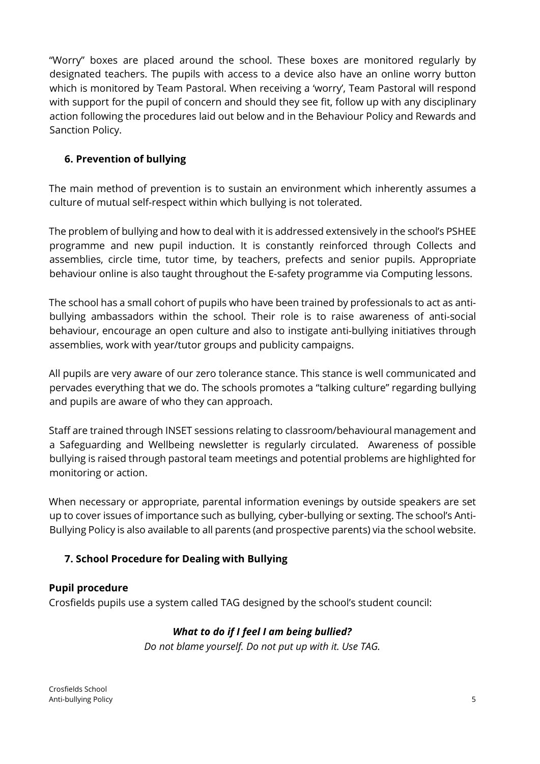"Worry" boxes are placed around the school. These boxes are monitored regularly by designated teachers. The pupils with access to a device also have an online worry button which is monitored by Team Pastoral. When receiving a 'worry', Team Pastoral will respond with support for the pupil of concern and should they see fit, follow up with any disciplinary action following the procedures laid out below and in the Behaviour Policy and Rewards and Sanction Policy.

# **6. Prevention of bullying**

The main method of prevention is to sustain an environment which inherently assumes a culture of mutual self-respect within which bullying is not tolerated.

The problem of bullying and how to deal with it is addressed extensively in the school's PSHEE programme and new pupil induction. It is constantly reinforced through Collects and assemblies, circle time, tutor time, by teachers, prefects and senior pupils. Appropriate behaviour online is also taught throughout the E-safety programme via Computing lessons.

The school has a small cohort of pupils who have been trained by professionals to act as antibullying ambassadors within the school. Their role is to raise awareness of anti-social behaviour, encourage an open culture and also to instigate anti-bullying initiatives through assemblies, work with year/tutor groups and publicity campaigns.

All pupils are very aware of our zero tolerance stance. This stance is well communicated and pervades everything that we do. The schools promotes a "talking culture" regarding bullying and pupils are aware of who they can approach.

Staff are trained through INSET sessions relating to classroom/behavioural management and a Safeguarding and Wellbeing newsletter is regularly circulated. Awareness of possible bullying is raised through pastoral team meetings and potential problems are highlighted for monitoring or action.

When necessary or appropriate, parental information evenings by outside speakers are set up to cover issues of importance such as bullying, cyber-bullying or sexting. The school's Anti-Bullying Policy is also available to all parents (and prospective parents) via the school website.

# **7. School Procedure for Dealing with Bullying**

# **Pupil procedure**

Crosfields pupils use a system called TAG designed by the school's student council:

# *What to do if I feel I am being bullied?*

*Do not blame yourself. Do not put up with it. Use TAG.*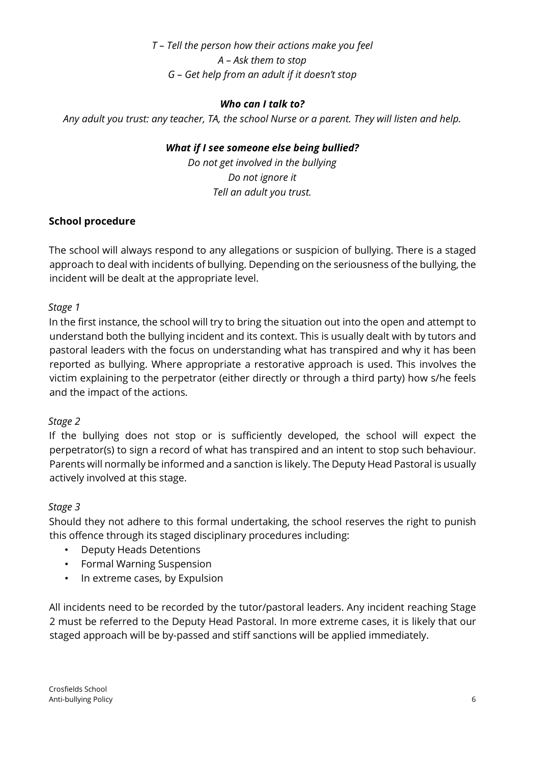*T – Tell the person how their actions make you feel A – Ask them to stop G – Get help from an adult if it doesn't stop* 

## *Who can I talk to?*

*Any adult you trust: any teacher, TA, the school Nurse or a parent. They will listen and help.* 

## *What if I see someone else being bullied?*

*Do not get involved in the bullying Do not ignore it Tell an adult you trust.* 

## **School procedure**

The school will always respond to any allegations or suspicion of bullying. There is a staged approach to deal with incidents of bullying. Depending on the seriousness of the bullying, the incident will be dealt at the appropriate level.

## *Stage 1*

In the first instance, the school will try to bring the situation out into the open and attempt to understand both the bullying incident and its context. This is usually dealt with by tutors and pastoral leaders with the focus on understanding what has transpired and why it has been reported as bullying. Where appropriate a restorative approach is used. This involves the victim explaining to the perpetrator (either directly or through a third party) how s/he feels and the impact of the actions.

## *Stage 2*

If the bullying does not stop or is sufficiently developed, the school will expect the perpetrator(s) to sign a record of what has transpired and an intent to stop such behaviour. Parents will normally be informed and a sanction is likely. The Deputy Head Pastoral is usually actively involved at this stage.

## *Stage 3*

Should they not adhere to this formal undertaking, the school reserves the right to punish this offence through its staged disciplinary procedures including:

- Deputy Heads Detentions
- Formal Warning Suspension
- In extreme cases, by Expulsion

All incidents need to be recorded by the tutor/pastoral leaders. Any incident reaching Stage 2 must be referred to the Deputy Head Pastoral. In more extreme cases, it is likely that our staged approach will be by-passed and stiff sanctions will be applied immediately.